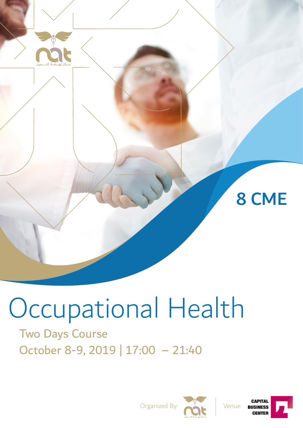

# Occupational Health

# Two Days Course October 8-9, 2019 | 17:00 – 21:40



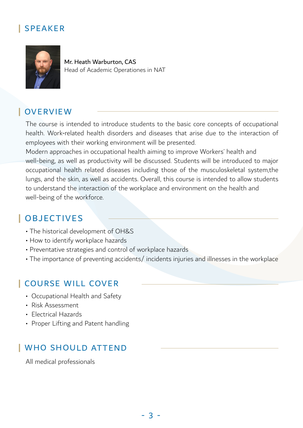#### **|** SPEAKER



Mr. Heath Warburton, CAS Head of Academic Operationes in NAT

#### **|** OVERVIEW

The course is intended to introduce students to the basic core concepts of occupational health. Work-related health disorders and diseases that arise due to the interaction of employees with their working environment will be presented.

Modern approaches in occupational health aiming to improve Workers' health and well-being, as well as productivity will be discussed. Students will be introduced to major occupational health related diseases including those of the musculoskeletal system,the lungs, and the skin, as well as accidents. Overall, this course is intended to allow students to understand the interaction of the workplace and environment on the health and well-being of the workforce.

#### **|** OBJECTIVES

- The historical development of OH&S
- How to identify workplace hazards
- Preventative strategies and control of workplace hazards
- The importance of preventing accidents/ incidents injuries and illnesses in the workplace

#### **|** COURSE WILL COVER

- Occupational Health and Safety
- Risk Assessment
- Electrical Hazards
- Proper Lifting and Patent handling

#### **|** WHO SHOULD ATTEND

All medical professionals

- 3 -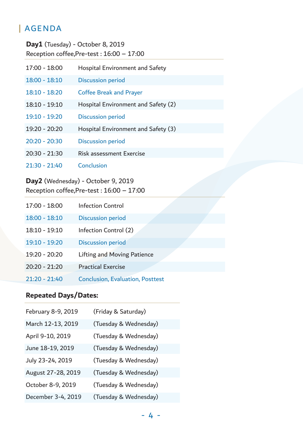#### **|** AGENDA

| Day1 (Tuesday) - October 8, 2019<br>Reception coffee, Pre-test: $16:00 - 17:00$ |                                        |  |
|---------------------------------------------------------------------------------|----------------------------------------|--|
| $17:00 - 18:00$                                                                 | <b>Hospital Environment and Safety</b> |  |
| $18:00 - 18:10$                                                                 | <b>Discussion period</b>               |  |
| $18:10 - 18:20$                                                                 | <b>Coffee Break and Prayer</b>         |  |
| $18:10 - 19:10$                                                                 | Hospital Environment and Safety (2)    |  |
| $19:10 - 19:20$                                                                 | <b>Discussion period</b>               |  |
| 19:20 - 20:20                                                                   | Hospital Environment and Safety (3)    |  |
| $20:20 - 20:30$                                                                 | <b>Discussion period</b>               |  |
| $20:30 - 21:30$                                                                 | <b>Risk assessment Exercise</b>        |  |
| $21:30 - 21:40$                                                                 | Conclusion                             |  |

#### Day2 (Wednesday) - October 9, 2019 Reception coffee,Pre-test : 16:00 – 17:00

| $17:00 - 18:00$ | <b>Infection Control</b>                |
|-----------------|-----------------------------------------|
| $18:00 - 18:10$ | <b>Discussion period</b>                |
| $18:10 - 19:10$ | Infection Control (2)                   |
| 19:10 - 19:20   | <b>Discussion period</b>                |
| 19:20 - 20:20   | <b>Lifting and Moving Patience</b>      |
| $20:20 - 21:20$ | <b>Practical Exercise</b>               |
| $21:20 - 21:40$ | <b>Conclusion, Evaluation, Posttest</b> |

#### **Repeated Days/Dates:**

| February 8-9, 2019 | (Friday & Saturday)   |
|--------------------|-----------------------|
| March 12-13, 2019  | (Tuesday & Wednesday) |
| April 9-10, 2019   | (Tuesday & Wednesday) |
| June 18-19, 2019   | (Tuesday & Wednesday) |
| July 23-24, 2019   | (Tuesday & Wednesday) |
| August 27-28, 2019 | (Tuesday & Wednesday) |
| October 8-9, 2019  | (Tuesday & Wednesday) |
| December 3-4, 2019 | (Tuesday & Wednesday) |